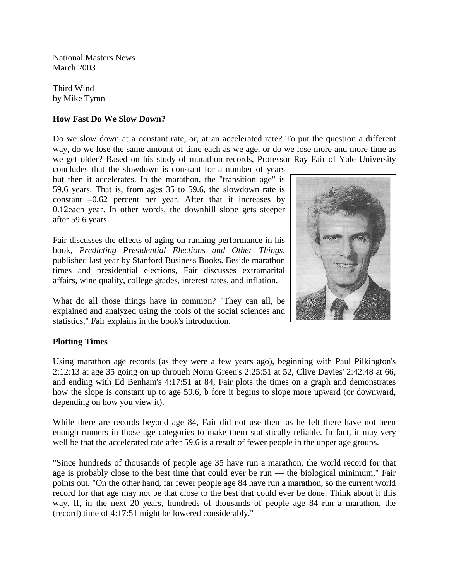National Masters News March 2003

Third Wind by Mike Tymn

## **How Fast Do We Slow Down?**

Do we slow down at a constant rate, or, at an accelerated rate? To put the question a different way, do we lose the same amount of time each as we age, or do we lose more and more time as we get older? Based on his study of marathon records, Professor Ray Fair of Yale University

concludes that the slowdown is constant for a number of years but then it accelerates. In the marathon, the "transition age" is 59.6 years. That is, from ages 35 to 59.6, the slowdown rate is constant –0.62 percent per year. After that it increases by 0.12each year. In other words, the downhill slope gets steeper after 59.6 years.

Fair discusses the effects of aging on running performance in his book, *Predicting Presidential Elections and Other Things*, published last year by Stanford Business Books. Beside marathon times and presidential elections, Fair discusses extramarital affairs, wine quality, college grades, interest rates, and inflation.

What do all those things have in common? "They can all, be explained and analyzed using the tools of the social sciences and statistics," Fair explains in the book's introduction.



## **Plotting Times**

Using marathon age records (as they were a few years ago), beginning with Paul Pilkington's 2:12:13 at age 35 going on up through Norm Green's 2:25:51 at 52, Clive Davies' 2:42:48 at 66, and ending with Ed Benham's 4:17:51 at 84, Fair plots the times on a graph and demonstrates how the slope is constant up to age 59.6, b fore it begins to slope more upward (or downward, depending on how you view it).

While there are records beyond age 84, Fair did not use them as he felt there have not been enough runners in those age categories to make them statistically reliable. In fact, it may very well be that the accelerated rate after 59.6 is a result of fewer people in the upper age groups.

"Since hundreds of thousands of people age 35 have run a marathon, the world record for that age is probably close to the best time that could ever be run — the biological minimum," Fair points out. "On the other hand, far fewer people age 84 have run a marathon, so the current world record for that age may not be that close to the best that could ever be done. Think about it this way. If, in the next 20 years, hundreds of thousands of people age 84 run a marathon, the (record) time of 4:17:51 might be lowered considerably."